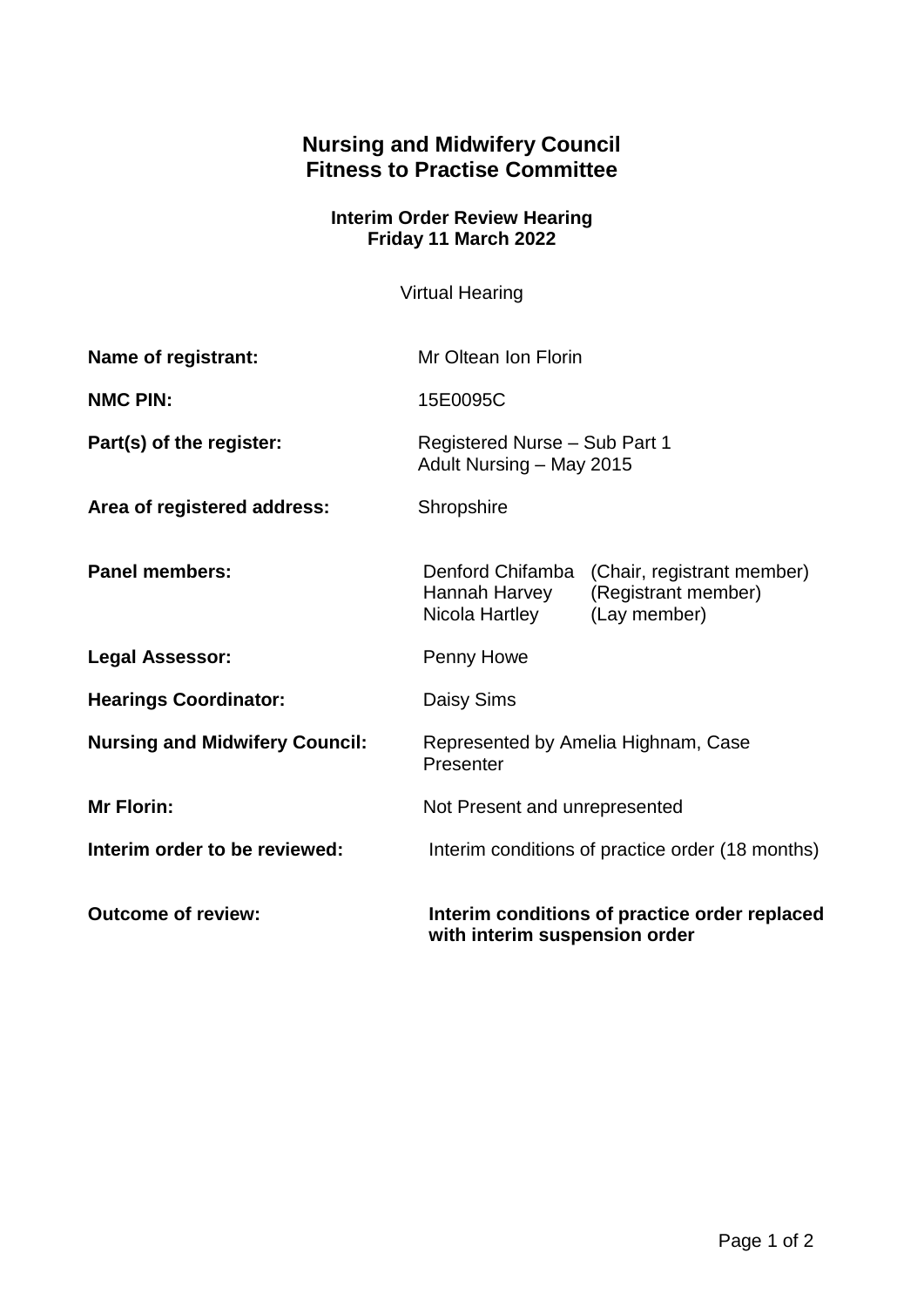## **Nursing and Midwifery Council Fitness to Practise Committee**

## **Interim Order Review Hearing Friday 11 March 2022**

Virtual Hearing

| Name of registrant:                   | Mr Oltean Ion Florin                                                           |                                                                                    |
|---------------------------------------|--------------------------------------------------------------------------------|------------------------------------------------------------------------------------|
| <b>NMC PIN:</b>                       | 15E0095C                                                                       |                                                                                    |
| Part(s) of the register:              | Registered Nurse - Sub Part 1<br>Adult Nursing - May 2015                      |                                                                                    |
| Area of registered address:           | Shropshire                                                                     |                                                                                    |
| <b>Panel members:</b>                 | Hannah Harvey<br>Nicola Hartley                                                | Denford Chifamba (Chair, registrant member)<br>(Registrant member)<br>(Lay member) |
| <b>Legal Assessor:</b>                | Penny Howe                                                                     |                                                                                    |
| <b>Hearings Coordinator:</b>          | Daisy Sims                                                                     |                                                                                    |
| <b>Nursing and Midwifery Council:</b> | Represented by Amelia Highnam, Case<br>Presenter                               |                                                                                    |
| <b>Mr Florin:</b>                     | Not Present and unrepresented                                                  |                                                                                    |
| Interim order to be reviewed:         | Interim conditions of practice order (18 months)                               |                                                                                    |
| <b>Outcome of review:</b>             | Interim conditions of practice order replaced<br>with interim suspension order |                                                                                    |